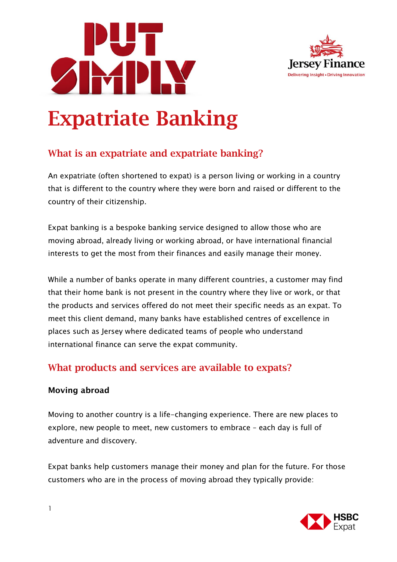



# Expatriate Banking

## What is an expatriate and expatriate banking?

An expatriate (often shortened to expat) is a person living or working in a country that is different to the country where they were born and raised or different to the country of their citizenship.

Expat banking is a bespoke banking service designed to allow those who are moving abroad, already living or working abroad, or have international financial interests to get the most from their finances and easily manage their money.

While a number of banks operate in many different countries, a customer may find that their home bank is not present in the country where they live or work, or that the products and services offered do not meet their specific needs as an expat. To meet this client demand, many banks have established centres of excellence in places such as Jersey where dedicated teams of people who understand international finance can serve the expat community.

## What products and services are available to expats?

#### Moving abroad

Moving to another country is a life-changing experience. There are new places to explore, new people to meet, new customers to embrace – each day is full of adventure and discovery.

Expat banks help customers manage their money and plan for the future. For those customers who are in the process of moving abroad they typically provide:

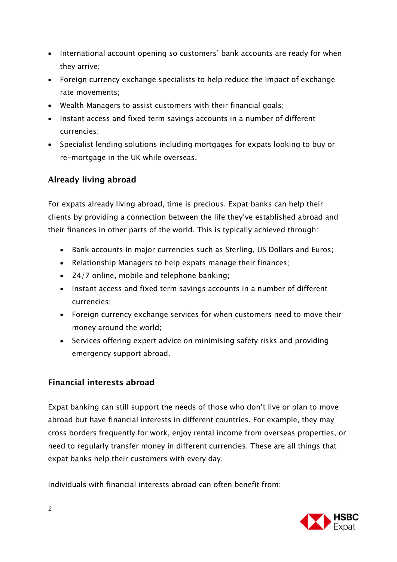- International account opening so customers' bank accounts are ready for when they arrive;
- Foreign currency exchange specialists to help reduce the impact of exchange rate movements;
- Wealth Managers to assist customers with their financial goals;
- Instant access and fixed term savings accounts in a number of different currencies;
- Specialist lending solutions including mortgages for expats looking to buy or re-mortgage in the UK while overseas.

#### Already living abroad

For expats already living abroad, time is precious. Expat banks can help their clients by providing a connection between the life they've established abroad and their finances in other parts of the world. This is typically achieved through:

- Bank accounts in major currencies such as Sterling, US Dollars and Euros;
- Relationship Managers to help expats manage their finances;
- 24/7 online, mobile and telephone banking;
- Instant access and fixed term savings accounts in a number of different currencies;
- Foreign currency exchange services for when customers need to move their money around the world;
- Services offering expert advice on minimising safety risks and providing emergency support abroad.

#### Financial interests abroad

Expat banking can still support the needs of those who don't live or plan to move abroad but have financial interests in different countries. For example, they may cross borders frequently for work, enjoy rental income from overseas properties, or need to regularly transfer money in different currencies. These are all things that expat banks help their customers with every day.

Individuals with financial interests abroad can often benefit from:

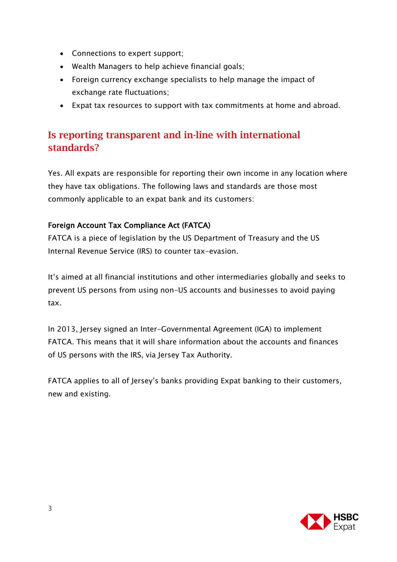- Connections to expert support;
- Wealth Managers to help achieve financial goals;
- Foreign currency exchange specialists to help manage the impact of exchange rate fluctuations;
- Expat tax resources to support with tax commitments at home and abroad.

## Is reporting transparent and in-line with international standards?

Yes. All expats are responsible for reporting their own income in any location where they have tax obligations. The following laws and standards are those most commonly applicable to an expat bank and its customers:

#### Foreign Account Tax Compliance Act (FATCA)

FATCA is a piece of legislation by the US Department of Treasury and the US Internal Revenue Service (IRS) to counter tax-evasion.

It's aimed at all financial institutions and other intermediaries globally and seeks to prevent US persons from using non-US accounts and businesses to avoid paying tax.

In 2013, Jersey signed an Inter-Governmental Agreement (IGA) to implement FATCA. This means that it will share information about the accounts and finances of US persons with the IRS, via Jersey Tax Authority.

FATCA applies to all of Jersey's banks providing Expat banking to their customers, new and existing.